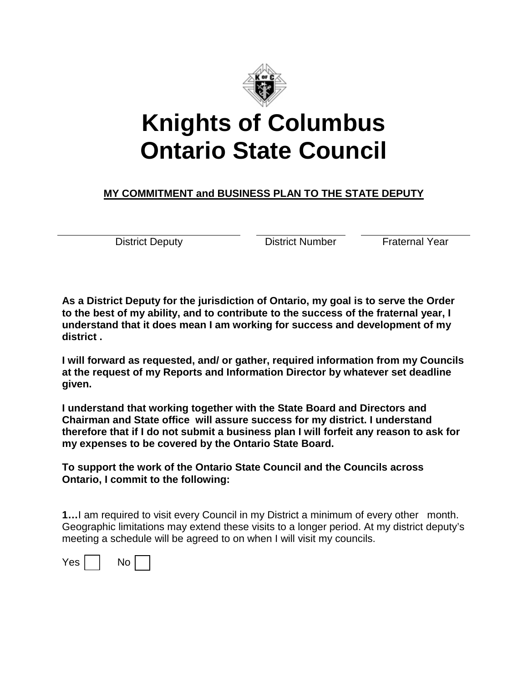

## **Knights of Columbus Ontario State Council**

## **MY COMMITMENT and BUSINESS PLAN TO THE STATE DEPUTY**

District Deputy **District Number** Praternal Year

**As a District Deputy for the jurisdiction of Ontario, my goal is to serve the Order to the best of my ability, and to contribute to the success of the fraternal year, I understand that it does mean I am working for success and development of my district .** 

**I will forward as requested, and/ or gather, required information from my Councils at the request of my Reports and Information Director by whatever set deadline given.**

**I understand that working together with the State Board and Directors and Chairman and State office will assure success for my district. I understand therefore that if I do not submit a business plan I will forfeit any reason to ask for my expenses to be covered by the Ontario State Board.**

**To support the work of the Ontario State Council and the Councils across Ontario, I commit to the following:**

**1…**I am required to visit every Council in my District a minimum of every other month. Geographic limitations may extend these visits to a longer period. At my district deputy's meeting a schedule will be agreed to on when I will visit my councils.

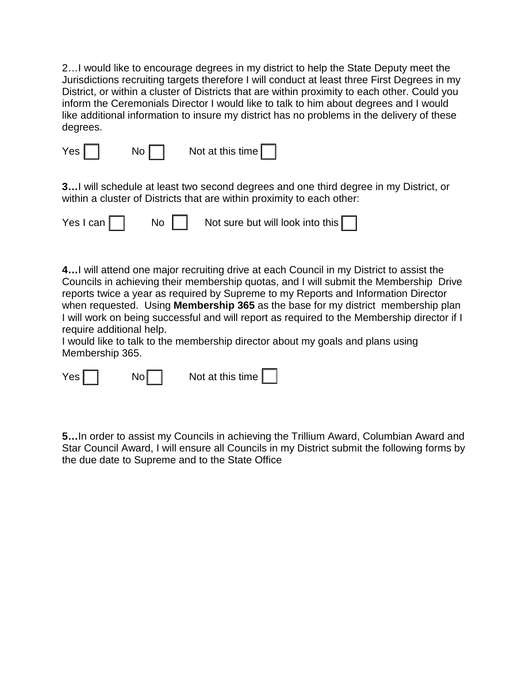2…I would like to encourage degrees in my district to help the State Deputy meet the Jurisdictions recruiting targets therefore I will conduct at least three First Degrees in my District, or within a cluster of Districts that are within proximity to each other. Could you inform the Ceremonials Director I would like to talk to him about degrees and I would like additional information to insure my district has no problems in the delivery of these degrees.

| $Yes \mid$ | No I | Not at this time |  |
|------------|------|------------------|--|
|            |      |                  |  |

**3…**I will schedule at least two second degrees and one third degree in my District, or within a cluster of Districts that are within proximity to each other:

|  | Yes I can | No <sub>1</sub> | Not sure but will look into this |  |  |
|--|-----------|-----------------|----------------------------------|--|--|
|--|-----------|-----------------|----------------------------------|--|--|

**4…**I will attend one major recruiting drive at each Council in my District to assist the Councils in achieving their membership quotas, and I will submit the Membership Drive reports twice a year as required by Supreme to my Reports and Information Director when requested. Using **Membership 365** as the base for my district membership plan I will work on being successful and will report as required to the Membership director if I require additional help.

I would like to talk to the membership director about my goals and plans using Membership 365.

| Yes <sub>l</sub> |  | Nol |  | Not at this time $\lfloor$ |  |
|------------------|--|-----|--|----------------------------|--|
|------------------|--|-----|--|----------------------------|--|

**5…**In order to assist my Councils in achieving the Trillium Award, Columbian Award and Star Council Award, I will ensure all Councils in my District submit the following forms by the due date to Supreme and to the State Office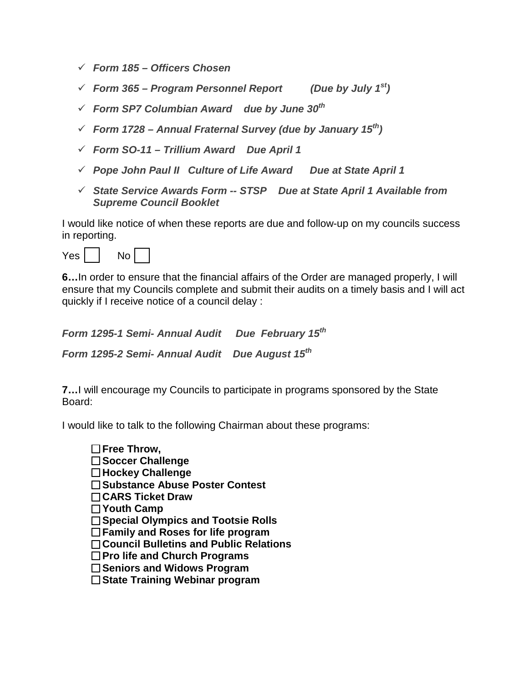- *Form 185 Officers Chosen*
- *Form 365 Program Personnel Report (Due by July 1st)*
- *Form SP7 Columbian Award due by June 30th*
- *Form 1728 Annual Fraternal Survey (due by January 15th)*
- *Form SO-11 Trillium Award Due April 1*
- *Pope John Paul II Culture of Life Award Due at State April 1*
- *State Service Awards Form -- STSP Due at State April 1 Available from Supreme Council Booklet*

I would like notice of when these reports are due and follow-up on my councils success in reporting.

| es | חר |  |
|----|----|--|

**6…**In order to ensure that the financial affairs of the Order are managed properly, I will ensure that my Councils complete and submit their audits on a timely basis and I will act quickly if I receive notice of a council delay :

*Form 1295-1 Semi- Annual Audit Due February 15th*

*Form 1295-2 Semi- Annual Audit Due August 15th*

**7…**I will encourage my Councils to participate in programs sponsored by the State Board:

I would like to talk to the following Chairman about these programs:

- **Free Throw, Soccer Challenge Hockey Challenge Substance Abuse Poster Contest**
- **CARS Ticket Draw**
- **Youth Camp**
- **Special Olympics and Tootsie Rolls**
- **Family and Roses for life program**
- **Council Bulletins and Public Relations**
- **Pro life and Church Programs**
- **Seniors and Widows Program**
- **State Training Webinar program**